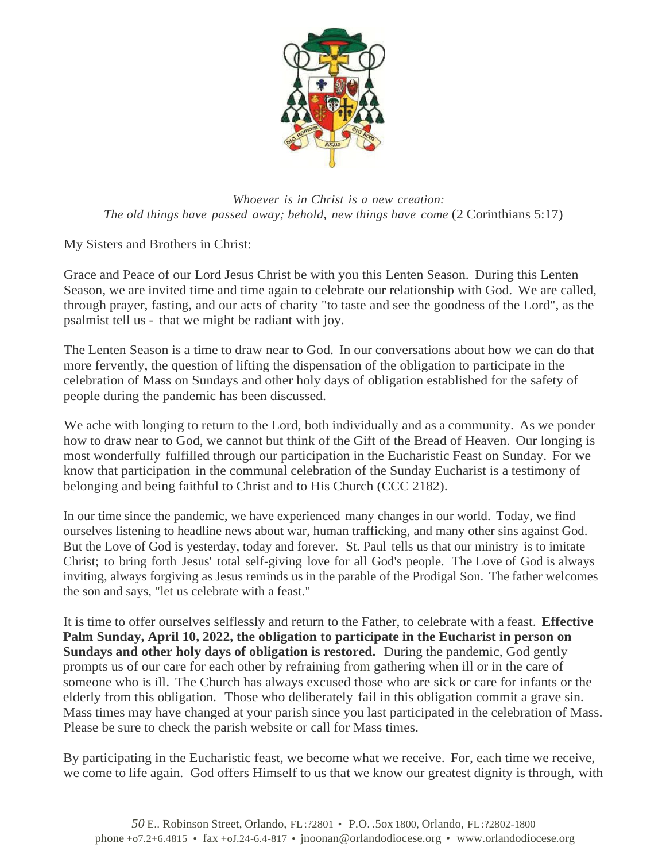

*Whoever is in Christ is a new creation: The old things have passed away; behold, new things have come* (2 Corinthians 5:17)

My Sisters and Brothers in Christ:

Grace and Peace of our Lord Jesus Christ be with you this Lenten Season. During this Lenten Season, we are invited time and time again to celebrate our relationship with God. We are called, through prayer, fasting, and our acts of charity "to taste and see the goodness of the Lord", as the psalmist tell us - that we might be radiant with joy.

The Lenten Season is a time to draw near to God. In our conversations about how we can do that more fervently, the question of lifting the dispensation of the obligation to participate in the celebration of Mass on Sundays and other holy days of obligation established for the safety of people during the pandemic has been discussed.

We ache with longing to return to the Lord, both individually and as a community. As we ponder how to draw near to God, we cannot but think of the Gift of the Bread of Heaven. Our longing is most wonderfully fulfilled through our participation in the Eucharistic Feast on Sunday. For we know that participation in the communal celebration of the Sunday Eucharist is a testimony of belonging and being faithful to Christ and to His Church (CCC 2182).

In our time since the pandemic, we have experienced many changes in our world. Today, we find ourselves listening to headline news about war, human trafficking, and many other sins against God. But the Love of God is yesterday, today and forever. St. Paul tells us that our ministry is to imitate Christ; to bring forth Jesus' total self-giving love for all God's people. The Love of God is always inviting, always forgiving as Jesus reminds us in the parable of the Prodigal Son. The father welcomes the son and says, "let us celebrate with a feast."

It is time to offer ourselves selflessly and return to the Father, to celebrate with a feast. **Effective Palm Sunday, April 10, 2022, the obligation to participate in the Eucharist in person on Sundays and other holy days of obligation is restored.** During the pandemic, God gently prompts us of our care for each other by refraining from gathering when ill or in the care of someone who is ill. The Church has always excused those who are sick or care for infants or the elderly from this obligation. Those who deliberately fail in this obligation commit a grave sin. Mass times may have changed at your parish since you last participated in the celebration of Mass. Please be sure to check the parish website or call for Mass times.

By participating in the Eucharistic feast, we become what we receive. For, each time we receive, we come to life again. God offers Himself to us that we know our greatest dignity is through, with